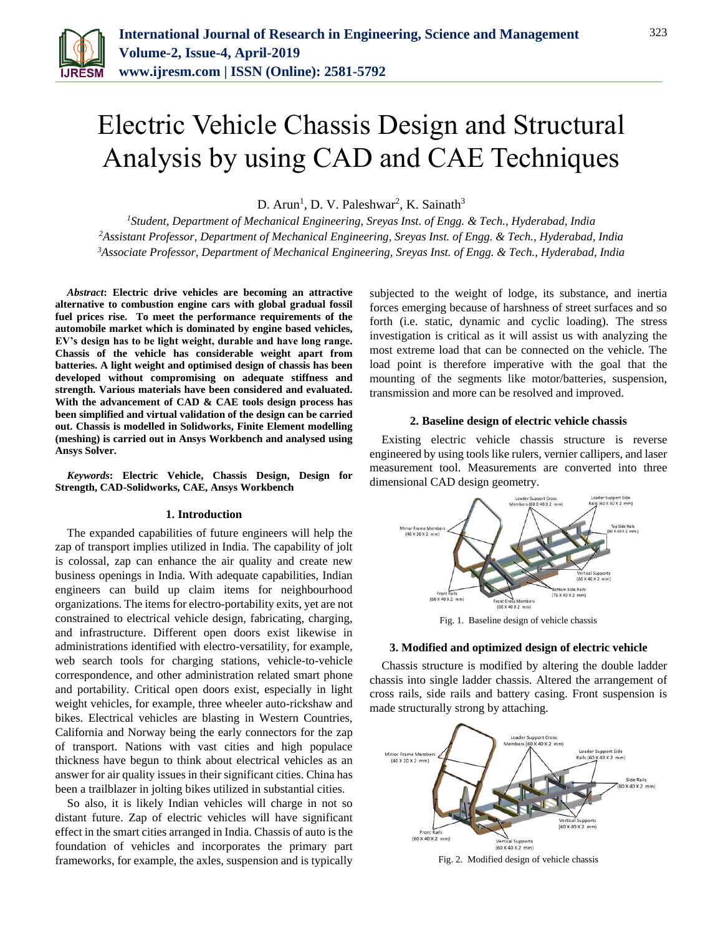

# Electric Vehicle Chassis Design and Structural Analysis by using CAD and CAE Techniques

D. Arun<sup>1</sup>, D. V. Paleshwar<sup>2</sup>, K. Sainath<sup>3</sup>

*<sup>1</sup>Student, Department of Mechanical Engineering, Sreyas Inst. of Engg. & Tech., Hyderabad, India <sup>2</sup>Assistant Professor, Department of Mechanical Engineering, Sreyas Inst. of Engg. & Tech., Hyderabad, India 3Associate Professor, Department of Mechanical Engineering, Sreyas Inst. of Engg. & Tech., Hyderabad, India*

*Abstract***: Electric drive vehicles are becoming an attractive alternative to combustion engine cars with global gradual fossil fuel prices rise. To meet the performance requirements of the automobile market which is dominated by engine based vehicles, EV's design has to be light weight, durable and have long range. Chassis of the vehicle has considerable weight apart from batteries. A light weight and optimised design of chassis has been developed without compromising on adequate stiffness and strength. Various materials have been considered and evaluated. With the advancement of CAD & CAE tools design process has been simplified and virtual validation of the design can be carried out. Chassis is modelled in Solidworks, Finite Element modelling (meshing) is carried out in Ansys Workbench and analysed using Ansys Solver.**

*Keywords***: Electric Vehicle, Chassis Design, Design for Strength, CAD-Solidworks, CAE, Ansys Workbench**

### **1. Introduction**

The expanded capabilities of future engineers will help the zap of transport implies utilized in India. The capability of jolt is colossal, zap can enhance the air quality and create new business openings in India. With adequate capabilities, Indian engineers can build up claim items for neighbourhood organizations. The items for electro-portability exits, yet are not constrained to electrical vehicle design, fabricating, charging, and infrastructure. Different open doors exist likewise in administrations identified with electro-versatility, for example, web search tools for charging stations, vehicle-to-vehicle correspondence, and other administration related smart phone and portability. Critical open doors exist, especially in light weight vehicles, for example, three wheeler auto-rickshaw and bikes. Electrical vehicles are blasting in Western Countries, California and Norway being the early connectors for the zap of transport. Nations with vast cities and high populace thickness have begun to think about electrical vehicles as an answer for air quality issues in their significant cities. China has been a trailblazer in jolting bikes utilized in substantial cities.

So also, it is likely Indian vehicles will charge in not so distant future. Zap of electric vehicles will have significant effect in the smart cities arranged in India. Chassis of auto is the foundation of vehicles and incorporates the primary part frameworks, for example, the axles, suspension and is typically subjected to the weight of lodge, its substance, and inertia forces emerging because of harshness of street surfaces and so forth (i.e. static, dynamic and cyclic loading). The stress investigation is critical as it will assist us with analyzing the most extreme load that can be connected on the vehicle. The load point is therefore imperative with the goal that the mounting of the segments like motor/batteries, suspension, transmission and more can be resolved and improved.

## **2. Baseline design of electric vehicle chassis**

Existing electric vehicle chassis structure is reverse engineered by using tools like rulers, vernier callipers, and laser measurement tool. Measurements are converted into three dimensional CAD design geometry.



## **3. Modified and optimized design of electric vehicle**

Chassis structure is modified by altering the double ladder chassis into single ladder chassis. Altered the arrangement of cross rails, side rails and battery casing. Front suspension is made structurally strong by attaching.



Fig. 2. Modified design of vehicle chassis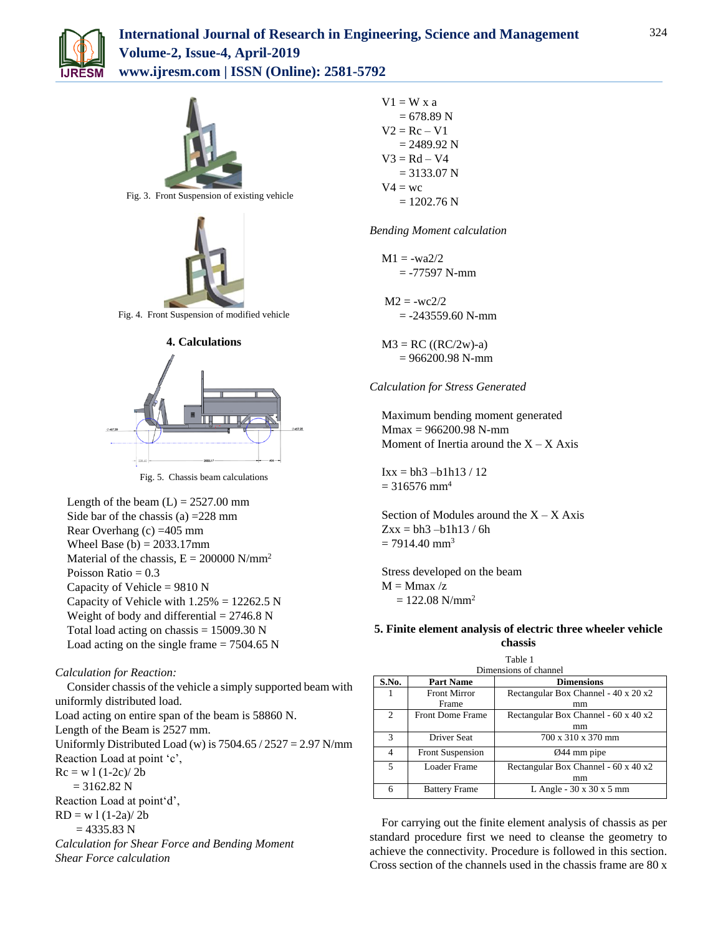



Rear Overhang (c) =405 mm Wheel Base (b)  $= 2033.17$ mm Material of the chassis,  $E = 200000 \text{ N/mm}^2$ Poisson Ratio  $= 0.3$ Capacity of Vehicle =  $9810 N$ Capacity of Vehicle with  $1.25% = 12262.5$  N Weight of body and differential  $= 2746.8$  N Total load acting on chassis  $= 15009.30$  N Load acting on the single frame  $= 7504.65$  N

# *Calculation for Reaction:*

Consider chassis of the vehicle a simply supported beam with uniformly distributed load. Load acting on entire span of the beam is 58860 N. Length of the Beam is 2527 mm. Uniformly Distributed Load (w) is  $7504.65 / 2527 = 2.97$  N/mm Reaction Load at point 'c',  $Rc = w l (1-2c)/2b$  $= 3162.82$  N Reaction Load at point'd',  $RD = w 1 (1-2a)/ 2b$  $= 4335.83$  N *Calculation for Shear Force and Bending Moment Shear Force calculation*

 $V1 = W x a$  $= 678.89$  N  $V2 = Rc - V1$  $= 2489.92$  N  $V3 = Rd - V4$  $= 3133.07$  N  $V4 = wc$  $= 1202.76$  N

*Bending Moment calculation*

$$
M1 = -wa2/2
$$

$$
= -77597 N-mm
$$

 $M2 = -wc2/2$  $= -243559.60$  N-mm

 $M3 = RC ((RC/2w)-a)$  $= 966200.98$  N-mm

## *Calculation for Stress Generated*

Maximum bending moment generated Mmax = 966200.98 N-mm Moment of Inertia around the  $X - X$  Axis

 $Ixx = bh3 - b1h13 / 12$  $= 316576$  mm<sup>4</sup>

Section of Modules around the  $X - X$  Axis  $Zxx = bh3 - bh113 / 6h$  $= 7914.40$  mm<sup>3</sup>

Stress developed on the beam  $M = Mmax / z$  $= 122.08$  N/mm<sup>2</sup>

# **5. Finite element analysis of electric three wheeler vehicle chassis**

Table 1 Dimensions of channel

| ринского от спанне |                         |                                      |  |  |  |
|--------------------|-------------------------|--------------------------------------|--|--|--|
| S.No.              | <b>Part Name</b>        | <b>Dimensions</b>                    |  |  |  |
|                    | <b>Front Mirror</b>     | Rectangular Box Channel - 40 x 20 x2 |  |  |  |
|                    | Frame                   | mm                                   |  |  |  |
| 2                  | <b>Front Dome Frame</b> | Rectangular Box Channel - 60 x 40 x2 |  |  |  |
|                    |                         | mm                                   |  |  |  |
| 3                  | Driver Seat             | 700 x 310 x 370 mm                   |  |  |  |
| 4                  | Front Suspension        | $Q$ 44 mm pipe                       |  |  |  |
| 5                  | <b>Loader Frame</b>     | Rectangular Box Channel - 60 x 40 x2 |  |  |  |
|                    |                         | mm                                   |  |  |  |
| 6                  | <b>Battery Frame</b>    | L Angle - $30 \times 30 \times 5$ mm |  |  |  |

For carrying out the finite element analysis of chassis as per standard procedure first we need to cleanse the geometry to achieve the connectivity. Procedure is followed in this section. Cross section of the channels used in the chassis frame are 80 x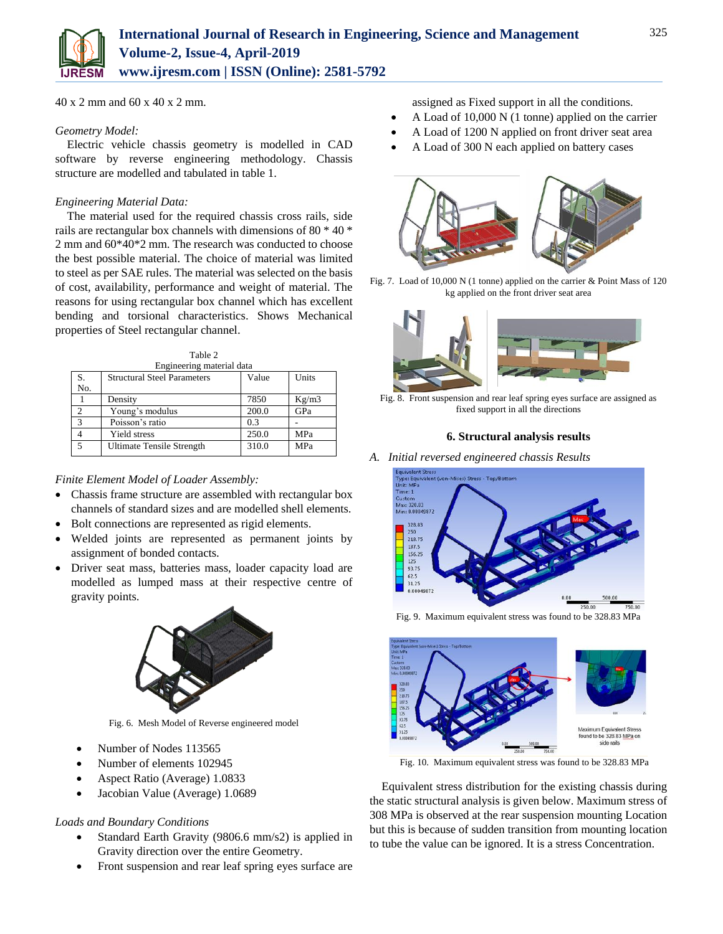40 x 2 mm and 60 x 40 x 2 mm.

# *Geometry Model:*

Electric vehicle chassis geometry is modelled in CAD software by reverse engineering methodology. Chassis structure are modelled and tabulated in table 1.

# *Engineering Material Data:*

The material used for the required chassis cross rails, side rails are rectangular box channels with dimensions of 80 \* 40 \* 2 mm and 60\*40\*2 mm. The research was conducted to choose the best possible material. The choice of material was limited to steel as per SAE rules. The material was selected on the basis of cost, availability, performance and weight of material. The reasons for using rectangular box channel which has excellent bending and torsional characteristics. Shows Mechanical properties of Steel rectangular channel.

| Table 2                   |                                    |       |            |  |  |  |
|---------------------------|------------------------------------|-------|------------|--|--|--|
| Engineering material data |                                    |       |            |  |  |  |
| S.                        | <b>Structural Steel Parameters</b> | Value | Units      |  |  |  |
| No.                       |                                    |       |            |  |  |  |
|                           | Density                            | 7850  | Kg/m3      |  |  |  |
| $\mathfrak{D}$            | Young's modulus                    | 200.0 | GPa        |  |  |  |
| 3                         | Poisson's ratio                    | 0.3   |            |  |  |  |
|                           | Yield stress                       | 250.0 | MPa        |  |  |  |
| 5                         | Ultimate Tensile Strength          | 310.0 | <b>MPa</b> |  |  |  |

*Finite Element Model of Loader Assembly:*

- Chassis frame structure are assembled with rectangular box channels of standard sizes and are modelled shell elements.
- Bolt connections are represented as rigid elements.
- Welded joints are represented as permanent joints by assignment of bonded contacts.
- Driver seat mass, batteries mass, loader capacity load are modelled as lumped mass at their respective centre of gravity points.



Fig. 6. Mesh Model of Reverse engineered model

- Number of Nodes 113565
- Number of elements 102945
- Aspect Ratio (Average) 1.0833
- Jacobian Value (Average) 1.0689

# *Loads and Boundary Conditions*

- Standard Earth Gravity (9806.6 mm/s2) is applied in Gravity direction over the entire Geometry.
- Front suspension and rear leaf spring eyes surface are

assigned as Fixed support in all the conditions.

- A Load of 10,000 N (1 tonne) applied on the carrier
- A Load of 1200 N applied on front driver seat area
- A Load of 300 N each applied on battery cases



Fig. 7. Load of 10,000 N (1 tonne) applied on the carrier & Point Mass of 120 kg applied on the front driver seat area



Fig. 8. Front suspension and rear leaf spring eyes surface are assigned as fixed support in all the directions

### **6. Structural analysis results**



Fig. 9. Maximum equivalent stress was found to be 328.83 MPa



Fig. 10. Maximum equivalent stress was found to be 328.83 MPa

Equivalent stress distribution for the existing chassis during the static structural analysis is given below. Maximum stress of 308 MPa is observed at the rear suspension mounting Location but this is because of sudden transition from mounting location to tube the value can be ignored. It is a stress Concentration.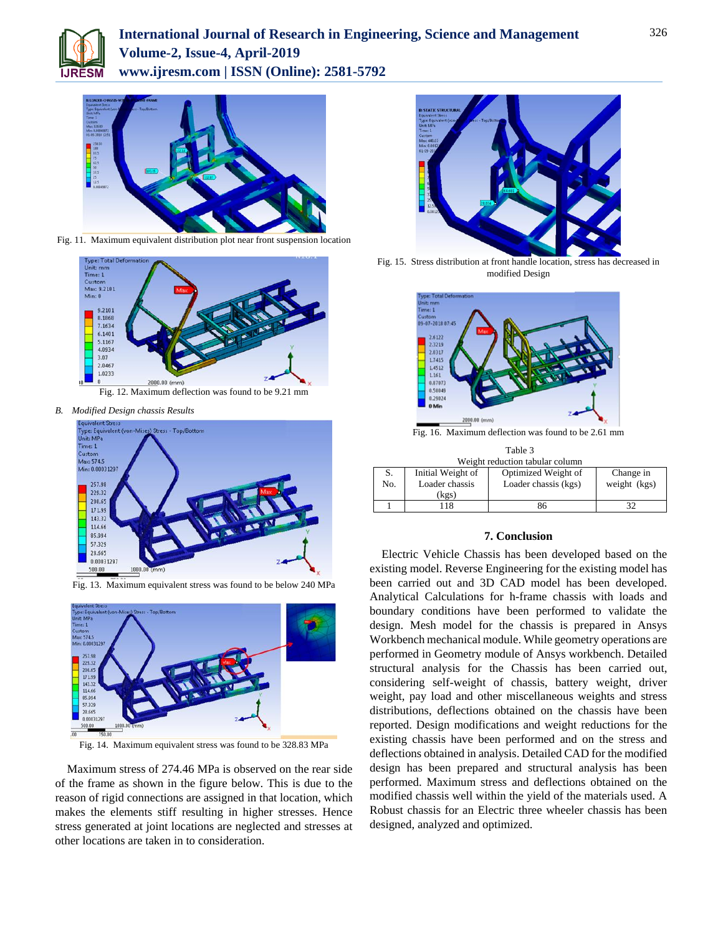



Fig. 11. Maximum equivalent distribution plot near front suspension location



Fig. 12. Maximum deflection was found to be 9.21 mm

*B. Modified Design chassis Results*



Fig. 13. Maximum equivalent stress was found to be below 240 MPa



Fig. 14. Maximum equivalent stress was found to be 328.83 MPa

Maximum stress of 274.46 MPa is observed on the rear side of the frame as shown in the figure below. This is due to the reason of rigid connections are assigned in that location, which makes the elements stiff resulting in higher stresses. Hence stress generated at joint locations are neglected and stresses at other locations are taken in to consideration.



Fig. 15. Stress distribution at front handle location, stress has decreased in modified Design



Fig. 16. Maximum deflection was found to be 2.61 mm

| Table 3                         |                                              |                                             |                           |  |  |  |
|---------------------------------|----------------------------------------------|---------------------------------------------|---------------------------|--|--|--|
| Weight reduction tabular column |                                              |                                             |                           |  |  |  |
| S.<br>No.                       | Initial Weight of<br>Loader chassis<br>(kgs) | Optimized Weight of<br>Loader chassis (kgs) | Change in<br>weight (kgs) |  |  |  |
|                                 | 118                                          | 86                                          |                           |  |  |  |

## **7. Conclusion**

Electric Vehicle Chassis has been developed based on the existing model. Reverse Engineering for the existing model has been carried out and 3D CAD model has been developed. Analytical Calculations for h-frame chassis with loads and boundary conditions have been performed to validate the design. Mesh model for the chassis is prepared in Ansys Workbench mechanical module. While geometry operations are performed in Geometry module of Ansys workbench. Detailed structural analysis for the Chassis has been carried out, considering self-weight of chassis, battery weight, driver weight, pay load and other miscellaneous weights and stress distributions, deflections obtained on the chassis have been reported. Design modifications and weight reductions for the existing chassis have been performed and on the stress and deflections obtained in analysis. Detailed CAD for the modified design has been prepared and structural analysis has been performed. Maximum stress and deflections obtained on the modified chassis well within the yield of the materials used. A Robust chassis for an Electric three wheeler chassis has been designed, analyzed and optimized.